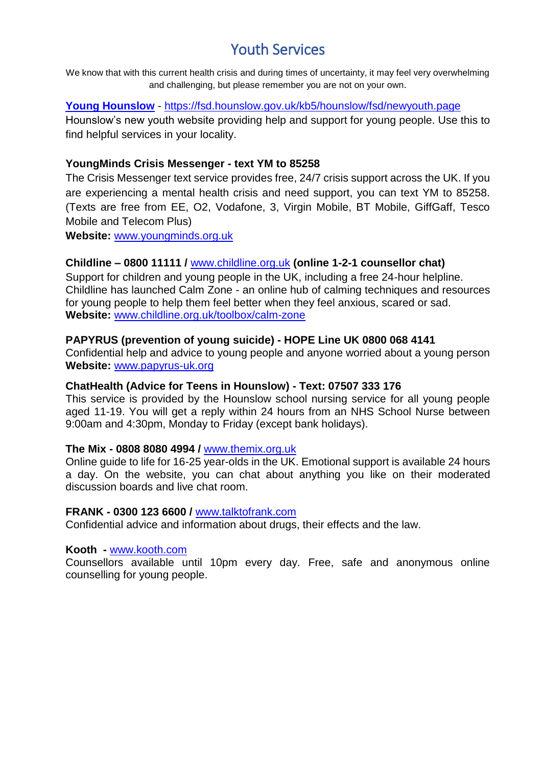# Youth Services

We know that with this current health crisis and during times of uncertainty, it may feel very overwhelming and challenging, but please remember you are not on your own.

### **[Young Hounslow](https://fsd.hounslow.gov.uk/kb5/hounslow/fsd/newyouth.page)** - <https://fsd.hounslow.gov.uk/kb5/hounslow/fsd/newyouth.page>

Hounslow's new youth website providing help and support for young people. Use this to find helpful services in your locality.

## **YoungMinds Crisis Messenger - text YM to 85258**

The Crisis Messenger text service provides free, 24/7 crisis support across the UK. If you are experiencing a mental health crisis and need support, you can text YM to 85258. (Texts are free from EE, O2, Vodafone, 3, Virgin Mobile, BT Mobile, GiffGaff, Tesco Mobile and Telecom Plus)

**Website:** [www.youngminds.org.uk](http://www.youngminds.org.uk/)

## **Childline – 0800 11111 /** [www.childline.org.uk](http://www.childline.org.uk/) **(online 1-2-1 counsellor chat)**

Support for children and young people in the UK, including a free 24-hour helpline. Childline has launched Calm Zone - an online hub of calming techniques and resources for young people to help them feel better when they feel anxious, scared or sad. **Website:** [www.childline.org.uk/toolbox/calm-zone](http://www.childline.org.uk/toolbox/calm-zone)

## **PAPYRUS (prevention of young suicide) - HOPE Line UK 0800 068 4141**

Confidential help and advice to young people and anyone worried about a young person **Website:** [www.papyrus-uk.org](http://www.papyrus-uk.org/)

### **ChatHealth (Advice for Teens in Hounslow) - Text: 07507 333 176**

This service is provided by the Hounslow school nursing service for all young people aged 11-19. You will get a reply within 24 hours from an NHS School Nurse between 9:00am and 4:30pm. Monday to Friday (except bank holidays).

### **The Mix - 0808 8080 4994 /** [www.themix.org.uk](http://www.themix.org.uk/)

Online guide to life for 16-25 year-olds in the UK. Emotional support is available 24 hours a day. On the website, you can chat about anything you like on their moderated discussion boards and live chat room.

#### **FRANK - 0300 123 6600 /** [www.talktofrank.com](http://www.talktofrank.com/)

Confidential advice and information about drugs, their effects and the law.

#### **Kooth -** [www.kooth.com](http://www.kooth.com/)

Counsellors available until 10pm every day. Free, safe and anonymous online counselling for young people.